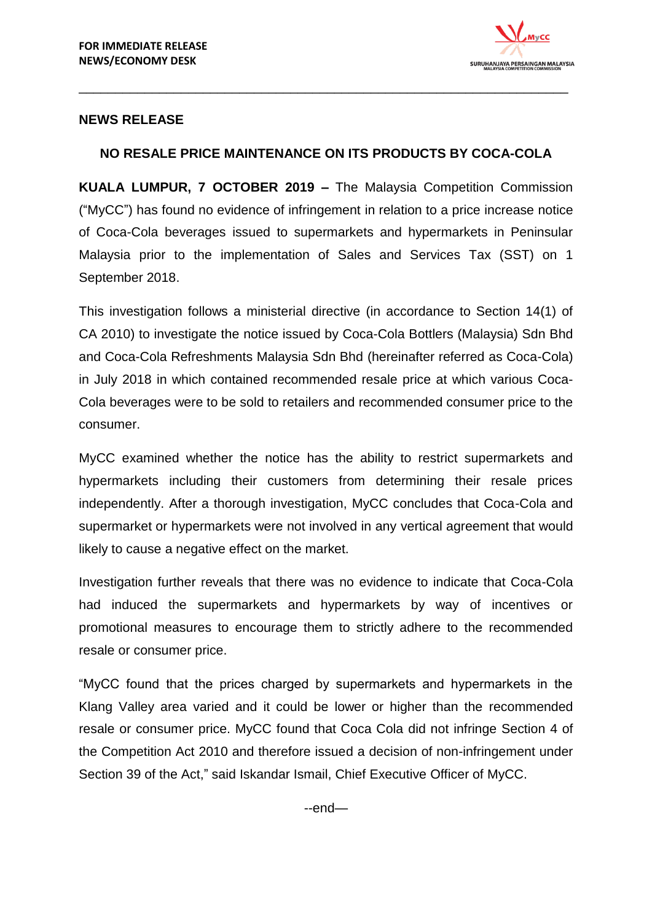

## **NEWS RELEASE**

## **NO RESALE PRICE MAINTENANCE ON ITS PRODUCTS BY COCA-COLA**

\_\_\_\_\_\_\_\_\_\_\_\_\_\_\_\_\_\_\_\_\_\_\_\_\_\_\_\_\_\_\_\_\_\_\_\_\_\_\_\_\_\_\_\_\_\_\_\_\_\_\_\_\_\_\_\_\_\_\_\_\_\_\_\_\_\_\_

**KUALA LUMPUR, 7 OCTOBER 2019 –** The Malaysia Competition Commission ("MyCC") has found no evidence of infringement in relation to a price increase notice of Coca-Cola beverages issued to supermarkets and hypermarkets in Peninsular Malaysia prior to the implementation of Sales and Services Tax (SST) on 1 September 2018.

This investigation follows a ministerial directive (in accordance to Section 14(1) of CA 2010) to investigate the notice issued by Coca-Cola Bottlers (Malaysia) Sdn Bhd and Coca-Cola Refreshments Malaysia Sdn Bhd (hereinafter referred as Coca-Cola) in July 2018 in which contained recommended resale price at which various Coca-Cola beverages were to be sold to retailers and recommended consumer price to the consumer.

MyCC examined whether the notice has the ability to restrict supermarkets and hypermarkets including their customers from determining their resale prices independently. After a thorough investigation, MyCC concludes that Coca-Cola and supermarket or hypermarkets were not involved in any vertical agreement that would likely to cause a negative effect on the market.

Investigation further reveals that there was no evidence to indicate that Coca-Cola had induced the supermarkets and hypermarkets by way of incentives or promotional measures to encourage them to strictly adhere to the recommended resale or consumer price.

"MyCC found that the prices charged by supermarkets and hypermarkets in the Klang Valley area varied and it could be lower or higher than the recommended resale or consumer price. MyCC found that Coca Cola did not infringe Section 4 of the Competition Act 2010 and therefore issued a decision of non-infringement under Section 39 of the Act," said Iskandar Ismail, Chief Executive Officer of MyCC.

--end—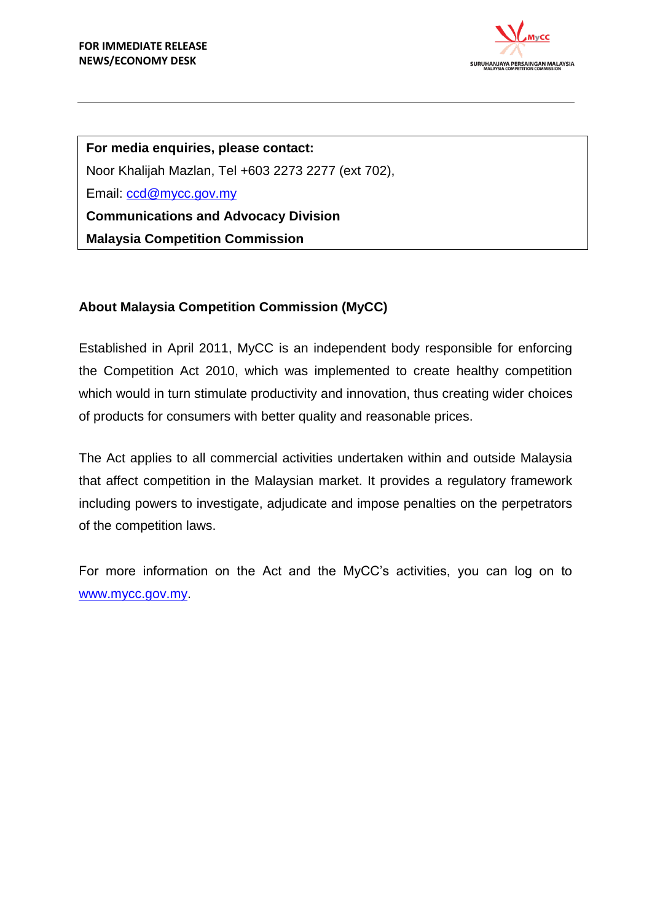

**For media enquiries, please contact:** Noor Khalijah Mazlan, Tel +603 2273 2277 (ext 702), Email: [ccd@mycc.gov.my](mailto:ccd@mycc.gov.my) **Communications and Advocacy Division Malaysia Competition Commission**

# **About Malaysia Competition Commission (MyCC)**

Established in April 2011, MyCC is an independent body responsible for enforcing the Competition Act 2010, which was implemented to create healthy competition which would in turn stimulate productivity and innovation, thus creating wider choices of products for consumers with better quality and reasonable prices.

The Act applies to all commercial activities undertaken within and outside Malaysia that affect competition in the Malaysian market. It provides a regulatory framework including powers to investigate, adjudicate and impose penalties on the perpetrators of the competition laws.

For more information on the Act and the MyCC's activities, you can log on to [www.mycc.gov.my.](http://www.mycc.gov.my/)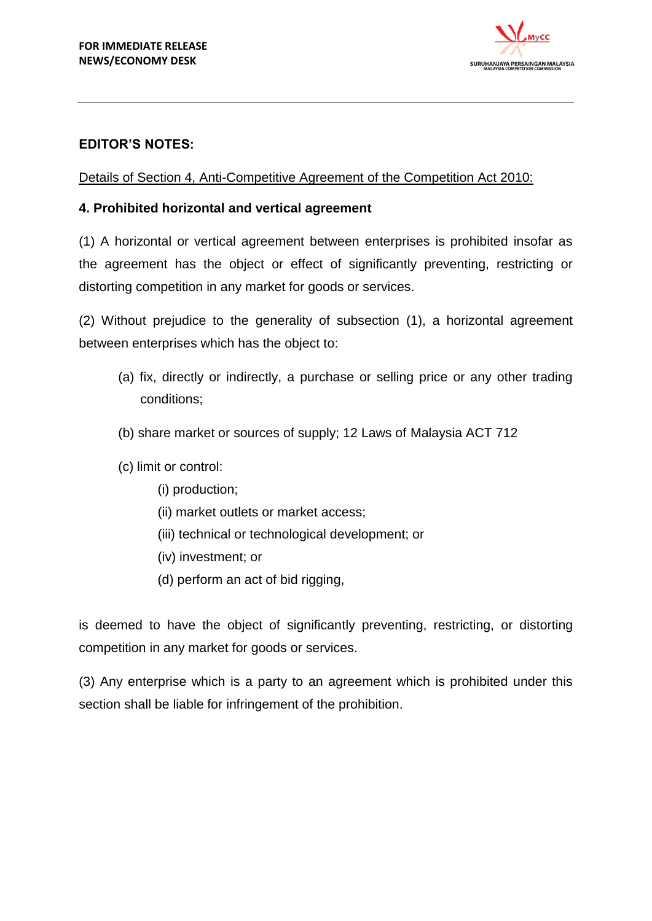

## **EDITOR'S NOTES:**

Details of Section 4, Anti-Competitive Agreement of the Competition Act 2010:

### **4. Prohibited horizontal and vertical agreement**

(1) A horizontal or vertical agreement between enterprises is prohibited insofar as the agreement has the object or effect of significantly preventing, restricting or distorting competition in any market for goods or services.

(2) Without prejudice to the generality of subsection (1), a horizontal agreement between enterprises which has the object to:

- (a) fix, directly or indirectly, a purchase or selling price or any other trading conditions;
- (b) share market or sources of supply; 12 Laws of Malaysia ACT 712
- (c) limit or control:
	- (i) production;
	- (ii) market outlets or market access;
	- (iii) technical or technological development; or
	- (iv) investment; or
	- (d) perform an act of bid rigging,

is deemed to have the object of significantly preventing, restricting, or distorting competition in any market for goods or services.

(3) Any enterprise which is a party to an agreement which is prohibited under this section shall be liable for infringement of the prohibition.